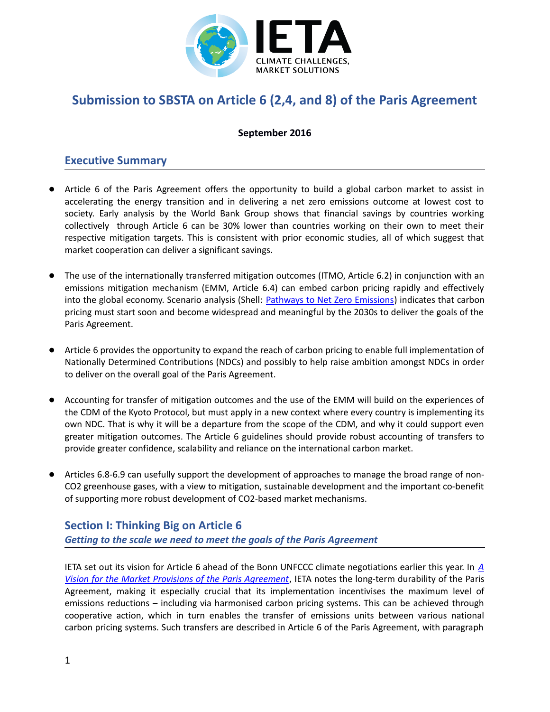

# **Submission to SBSTA on Article 6 (2,4, and 8) of the Paris Agreement**

### **September 2016**

## **Executive Summary**

- Article 6 of the Paris Agreement offers the opportunity to build a global carbon market to assist in accelerating the energy transition and in delivering a net zero emissions outcome at lowest cost to society. Early analysis by the World Bank Group shows that financial savings by countries working collectively through Article 6 can be 30% lower than countries working on their own to meet their respective mitigation targets. This is consistent with prior economic studies, all of which suggest that market cooperation can deliver a significant savings.
- The use of the internationally transferred mitigation outcomes (ITMO, Article 6.2) in conjunction with an emissions mitigation mechanism (EMM, Article 6.4) can embed carbon pricing rapidly and effectively into the global economy. Scenario analysis (Shell: **Pathways to Net Zero Emissions**) indicates that carbon pricing must start soon and become widespread and meaningful by the 2030s to deliver the goals of the Paris Agreement.
- Article 6 provides the opportunity to expand the reach of carbon pricing to enable full implementation of Nationally Determined Contributions (NDCs) and possibly to help raise ambition amongst NDCs in order to deliver on the overall goal of the Paris Agreement.
- Accounting for transfer of mitigation outcomes and the use of the EMM will build on the experiences of the CDM of the Kyoto Protocol, but must apply in a new context where every country is implementing its own NDC. That is why it will be a departure from the scope of the CDM, and why it could support even greater mitigation outcomes. The Article 6 guidelines should provide robust accounting of transfers to provide greater confidence, scalability and reliance on the international carbon market.
- Articles 6.8-6.9 can usefully support the development of approaches to manage the broad range of non-CO2 greenhouse gases, with a view to mitigation, sustainable development and the important co-benefit of supporting more robust development of CO2-based market mechanisms.

## **Section I: Thinking Big on Article 6** *Getting to the scale we need to meet the goals of the Paris Agreement*

IETA set out its vision for Article 6 ahead of the Bonn UNFCCC climate negotiations earlier this year. In *[A](http://www.ieta.org/resources/Resources/Position_Papers/2016/IETA_Article_6_Implementation_Paper_May2016.pdf) [Vision for the Market Provisions of the Paris Agreement](http://www.ieta.org/resources/Resources/Position_Papers/2016/IETA_Article_6_Implementation_Paper_May2016.pdf)*, IETA notes the long-term durability of the Paris Agreement, making it especially crucial that its implementation incentivises the maximum level of emissions reductions – including via harmonised carbon pricing systems. This can be achieved through cooperative action, which in turn enables the transfer of emissions units between various national carbon pricing systems. Such transfers are described in Article 6 of the Paris Agreement, with paragraph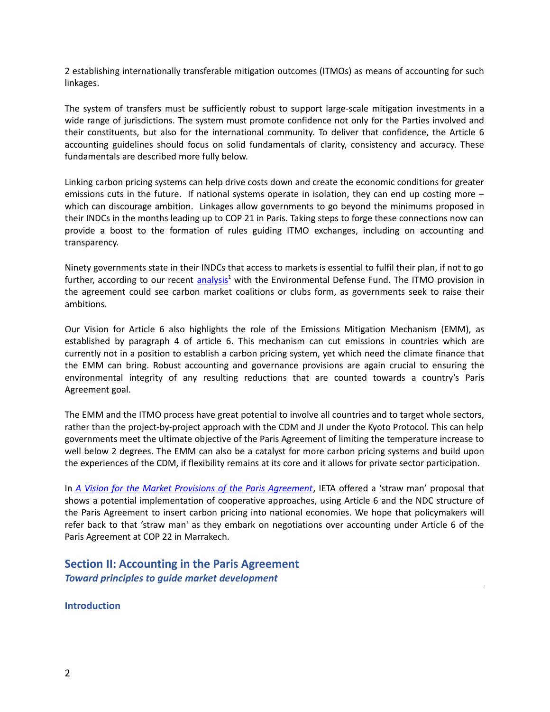2 establishing internationally transferable mitigation outcomes (ITMOs) as means of accounting for such linkages.

The system of transfers must be sufficiently robust to support large-scale mitigation investments in a wide range of jurisdictions. The system must promote confidence not only for the Parties involved and their constituents, but also for the international community. To deliver that confidence, the Article 6 accounting guidelines should focus on solid fundamentals of clarity, consistency and accuracy. These fundamentals are described more fully below.

Linking carbon pricing systems can help drive costs down and create the economic conditions for greater emissions cuts in the future. If national systems operate in isolation, they can end up costing more – which can discourage ambition. Linkages allow governments to go beyond the minimums proposed in their INDCs in the months leading up to COP 21 in Paris. Taking steps to forge these connections now can provide a boost to the formation of rules guiding ITMO exchanges, including on accounting and transparency.

Ninety governments state in their INDCs that access to markets is essential to fulfil their plan, if not to go further, according to our recent [analysis](http://www.ieta.org/resources/Resources/Reports/Carbon_Pricing_The_Paris_Agreements_Key_Ingredient.pdf)<sup>1</sup> with the Environmental Defense Fund. The ITMO provision in the agreement could see carbon market coalitions or clubs form, as governments seek to raise their ambitions.

Our Vision for Article 6 also highlights the role of the Emissions Mitigation Mechanism (EMM), as established by paragraph 4 of article 6. This mechanism can cut emissions in countries which are currently not in a position to establish a carbon pricing system, yet which need the climate finance that the EMM can bring. Robust accounting and governance provisions are again crucial to ensuring the environmental integrity of any resulting reductions that are counted towards a country's Paris Agreement goal.

The EMM and the ITMO process have great potential to involve all countries and to target whole sectors, rather than the project-by-project approach with the CDM and JI under the Kyoto Protocol. This can help governments meet the ultimate objective of the Paris Agreement of limiting the temperature increase to well below 2 degrees. The EMM can also be a catalyst for more carbon pricing systems and build upon the experiences of the CDM, if flexibility remains at its core and it allows for private sector participation.

In *[A Vision for the Market Provisions of the Paris Agreement](http://www.ieta.org/resources/Resources/Position_Papers/2016/IETA_Article_6_Implementation_Paper_May2016.pdf)*, IETA offered a 'straw man' proposal that shows a potential implementation of cooperative approaches, using Article 6 and the NDC structure of the Paris Agreement to insert carbon pricing into national economies. We hope that policymakers will refer back to that 'straw man' as they embark on negotiations over accounting under Article 6 of the Paris Agreement at COP 22 in Marrakech.

**Section II: Accounting in the Paris Agreement** *Toward principles to guide market development*

**Introduction**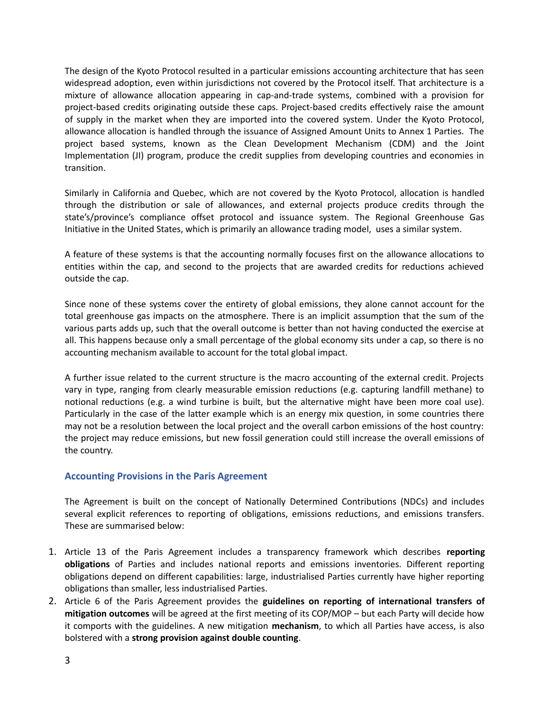The design of the Kyoto Protocol resulted in a particular emissions accounting architecture that has seen widespread adoption, even within jurisdictions not covered by the Protocol itself. That architecture is a mixture of allowance allocation appearing in cap-and-trade systems, combined with a provision for project-based credits originating outside these caps. Project-based credits effectively raise the amount of supply in the market when they are imported into the covered system. Under the Kyoto Protocol, allowance allocation is handled through the issuance of Assigned Amount Units to Annex 1 Parties. The project based systems, known as the Clean Development Mechanism (CDM) and the Joint Implementation (JI) program, produce the credit supplies from developing countries and economies in transition.

Similarly in California and Quebec, which are not covered by the Kyoto Protocol, allocation is handled through the distribution or sale of allowances, and external projects produce credits through the state's/province's compliance offset protocol and issuance system. The Regional Greenhouse Gas Initiative in the United States, which is primarily an allowance trading model, uses a similar system.

A feature of these systems is that the accounting normally focuses first on the allowance allocations to entities within the cap, and second to the projects that are awarded credits for reductions achieved outside the cap.

Since none of these systems cover the entirety of global emissions, they alone cannot account for the total greenhouse gas impacts on the atmosphere. There is an implicit assumption that the sum of the various parts adds up, such that the overall outcome is better than not having conducted the exercise at all. This happens because only a small percentage of the global economy sits under a cap, so there is no accounting mechanism available to account for the total global impact.

A further issue related to the current structure is the macro accounting of the external credit. Projects vary in type, ranging from clearly measurable emission reductions (e.g. capturing landfill methane) to notional reductions (e.g. a wind turbine is built, but the alternative might have been more coal use). Particularly in the case of the latter example which is an energy mix question, in some countries there may not be a resolution between the local project and the overall carbon emissions of the host country: the project may reduce emissions, but new fossil generation could still increase the overall emissions of the country.

#### **Accounting Provisions in the Paris Agreement**

The Agreement is built on the concept of Nationally Determined Contributions (NDCs) and includes several explicit references to reporting of obligations, emissions reductions, and emissions transfers. These are summarised below:

- 1. Article 13 of the Paris Agreement includes a transparency framework which describes **reporting obligations** of Parties and includes national reports and emissions inventories. Different reporting obligations depend on different capabilities: large, industrialised Parties currently have higher reporting obligations than smaller, less industrialised Parties.
- 2. Article 6 of the Paris Agreement provides the **guidelines on reporting of international transfers of mitigation outcomes** will be agreed at the first meeting of its COP/MOP – but each Party will decide how it comports with the guidelines. A new mitigation **mechanism**, to which all Parties have access, is also bolstered with a **strong provision against double counting**.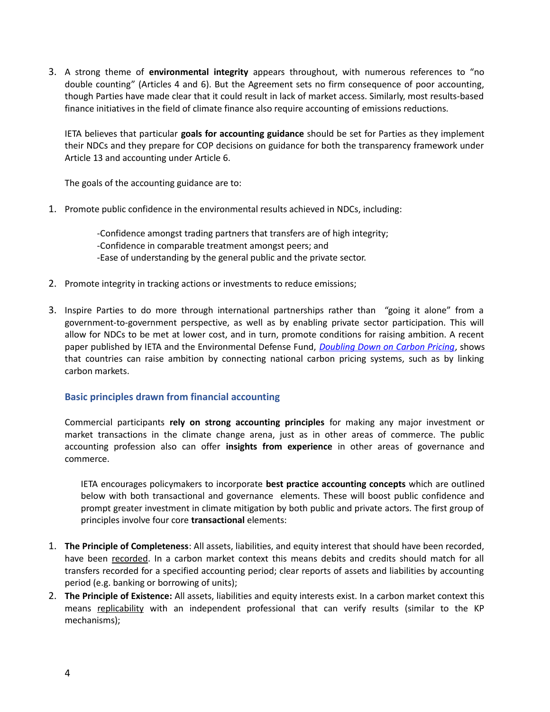3. A strong theme of **environmental integrity** appears throughout, with numerous references to "no double counting" (Articles 4 and 6). But the Agreement sets no firm consequence of poor accounting, though Parties have made clear that it could result in lack of market access. Similarly, most results-based finance initiatives in the field of climate finance also require accounting of emissions reductions.

IETA believes that particular **goals for accounting guidance** should be set for Parties as they implement their NDCs and they prepare for COP decisions on guidance for both the transparency framework under Article 13 and accounting under Article 6.

The goals of the accounting guidance are to:

1. Promote public confidence in the environmental results achieved in NDCs, including:

-Confidence amongst trading partners that transfers are of high integrity; -Confidence in comparable treatment amongst peers; and -Ease of understanding by the general public and the private sector.

- 2. Promote integrity in tracking actions or investments to reduce emissions;
- 3. Inspire Parties to do more through international partnerships rather than "going it alone" from a government-to-government perspective, as well as by enabling private sector participation. This will allow for NDCs to be met at lower cost, and in turn, promote conditions for raising ambition. A recent paper published by IETA and the Environmental Defense Fund, *[Doubling Down on Carbon Pricing](https://ieta.wildapricot.org/resources/Resources/Reports/Doubling_Down_Carbon_Pricing_EDF-IETA.pdf)*, shows that countries can raise ambition by connecting national carbon pricing systems, such as by linking carbon markets.

#### **Basic principles drawn from financial accounting**

Commercial participants **rely on strong accounting principles** for making any major investment or market transactions in the climate change arena, just as in other areas of commerce. The public accounting profession also can offer **insights from experience** in other areas of governance and commerce.

IETA encourages policymakers to incorporate **best practice accounting concepts** which are outlined below with both transactional and governance elements. These will boost public confidence and prompt greater investment in climate mitigation by both public and private actors. The first group of principles involve four core **transactional** elements:

- 1. **The Principle of Completeness**: All assets, liabilities, and equity interest that should have been recorded, have been recorded. In a carbon market context this means debits and credits should match for all transfers recorded for a specified accounting period; clear reports of assets and liabilities by accounting period (e.g. banking or borrowing of units);
- 2. **The Principle of Existence:** All assets, liabilities and equity interests exist. In a carbon market context this means replicability with an independent professional that can verify results (similar to the KP mechanisms);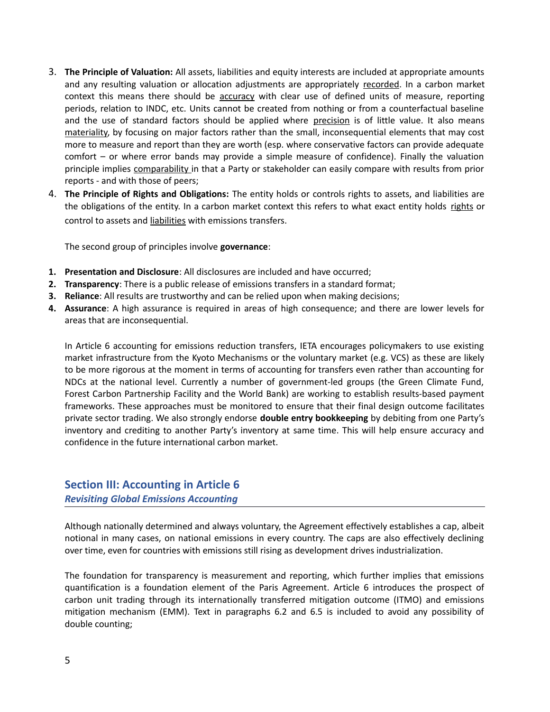- 3. **The Principle of Valuation:** All assets, liabilities and equity interests are included at appropriate amounts and any resulting valuation or allocation adjustments are appropriately recorded. In a carbon market context this means there should be accuracy with clear use of defined units of measure, reporting periods, relation to INDC, etc. Units cannot be created from nothing or from a counterfactual baseline and the use of standard factors should be applied where precision is of little value. It also means materiality, by focusing on major factors rather than the small, inconsequential elements that may cost more to measure and report than they are worth (esp. where conservative factors can provide adequate comfort – or where error bands may provide a simple measure of confidence). Finally the valuation principle implies comparability in that a Party or stakeholder can easily compare with results from prior reports - and with those of peers;
- 4. **The Principle of Rights and Obligations:** The entity holds or controls rights to assets, and liabilities are the obligations of the entity. In a carbon market context this refers to what exact entity holds rights or control to assets and liabilities with emissions transfers.

The second group of principles involve **governance**:

- **1. Presentation and Disclosure**: All disclosures are included and have occurred;
- **2. Transparency**: There is a public release of emissions transfers in a standard format;
- **3. Reliance**: All results are trustworthy and can be relied upon when making decisions;
- **4. Assurance**: A high assurance is required in areas of high consequence; and there are lower levels for areas that are inconsequential.

In Article 6 accounting for emissions reduction transfers, IETA encourages policymakers to use existing market infrastructure from the Kyoto Mechanisms or the voluntary market (e.g. VCS) as these are likely to be more rigorous at the moment in terms of accounting for transfers even rather than accounting for NDCs at the national level. Currently a number of government-led groups (the Green Climate Fund, Forest Carbon Partnership Facility and the World Bank) are working to establish results-based payment frameworks. These approaches must be monitored to ensure that their final design outcome facilitates private sector trading. We also strongly endorse **double entry bookkeeping** by debiting from one Party's inventory and crediting to another Party's inventory at same time. This will help ensure accuracy and confidence in the future international carbon market.

## **Section III: Accounting in Article 6** *Revisiting Global Emissions Accounting*

Although nationally determined and always voluntary, the Agreement effectively establishes a cap, albeit notional in many cases, on national emissions in every country. The caps are also effectively declining over time, even for countries with emissions still rising as development drives industrialization.

The foundation for transparency is measurement and reporting, which further implies that emissions quantification is a foundation element of the Paris Agreement. Article 6 introduces the prospect of carbon unit trading through its internationally transferred mitigation outcome (ITMO) and emissions mitigation mechanism (EMM). Text in paragraphs 6.2 and 6.5 is included to avoid any possibility of double counting;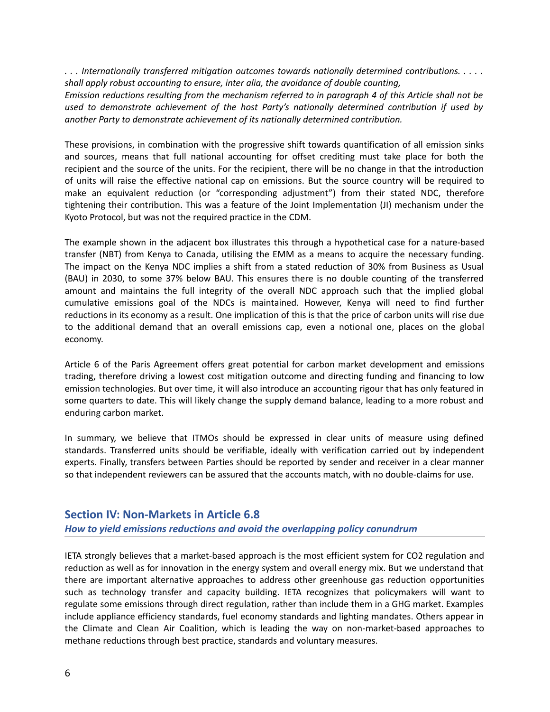*. . . Internationally transferred mitigation outcomes towards nationally determined contributions. . . . . shall apply robust accounting to ensure, inter alia, the avoidance of double counting,*

*Emission reductions resulting from the mechanism referred to in paragraph 4 of this Article shall not be used to demonstrate achievement of the host Party's nationally determined contribution if used by another Party to demonstrate achievement of its nationally determined contribution.*

These provisions, in combination with the progressive shift towards quantification of all emission sinks and sources, means that full national accounting for offset crediting must take place for both the recipient and the source of the units. For the recipient, there will be no change in that the introduction of units will raise the effective national cap on emissions. But the source country will be required to make an equivalent reduction (or "corresponding adjustment") from their stated NDC, therefore tightening their contribution. This was a feature of the Joint Implementation (JI) mechanism under the Kyoto Protocol, but was not the required practice in the CDM.

The example shown in the adjacent box illustrates this through a hypothetical case for a nature-based transfer (NBT) from Kenya to Canada, utilising the EMM as a means to acquire the necessary funding. The impact on the Kenya NDC implies a shift from a stated reduction of 30% from Business as Usual (BAU) in 2030, to some 37% below BAU. This ensures there is no double counting of the transferred amount and maintains the full integrity of the overall NDC approach such that the implied global cumulative emissions goal of the NDCs is maintained. However, Kenya will need to find further reductions in its economy as a result. One implication of this is that the price of carbon units will rise due to the additional demand that an overall emissions cap, even a notional one, places on the global economy.

Article 6 of the Paris Agreement offers great potential for carbon market development and emissions trading, therefore driving a lowest cost mitigation outcome and directing funding and financing to low emission technologies. But over time, it will also introduce an accounting rigour that has only featured in some quarters to date. This will likely change the supply demand balance, leading to a more robust and enduring carbon market.

In summary, we believe that ITMOs should be expressed in clear units of measure using defined standards. Transferred units should be verifiable, ideally with verification carried out by independent experts. Finally, transfers between Parties should be reported by sender and receiver in a clear manner so that independent reviewers can be assured that the accounts match, with no double-claims for use.

## **Section IV: Non-Markets in Article 6.8** *How to yield emissions reductions and avoid the overlapping policy conundrum*

IETA strongly believes that a market-based approach is the most efficient system for CO2 regulation and reduction as well as for innovation in the energy system and overall energy mix. But we understand that there are important alternative approaches to address other greenhouse gas reduction opportunities such as technology transfer and capacity building. IETA recognizes that policymakers will want to regulate some emissions through direct regulation, rather than include them in a GHG market. Examples include appliance efficiency standards, fuel economy standards and lighting mandates. Others appear in the Climate and Clean Air Coalition, which is leading the way on non-market-based approaches to methane reductions through best practice, standards and voluntary measures.